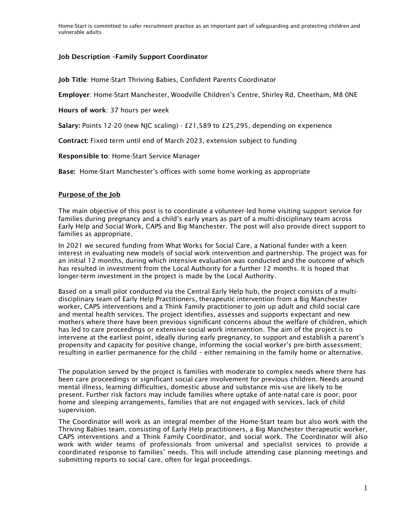Home-Start is committed to safer recruitment practice as an important part of safeguarding and protecting children and vulnerable adults

### Job Description –Family Support Coordinator

Job Title: Home-Start Thriving Babies, Confident Parents Coordinator

Employer: Home-Start Manchester, Woodville Children's Centre, Shirley Rd, Cheetham, M8 0NE

Hours of work: 37 hours per week

Salary: Points 12-20 (new NJC scaling) - £21,589 to £25,295, depending on experience

Contract: Fixed term until end of March 2023, extension subject to funding

Responsible to: Home-Start Service Manager

Base: Home-Start Manchester's offices with some home working as appropriate

### Purpose of the Job

The main objective of this post is to coordinate a volunteer-led home visiting support service for families during pregnancy and a child's early years as part of a multi-disciplinary team across Early Help and Social Work, CAPS and Big Manchester. The post will also provide direct support to families as appropriate.

In 2021 we secured funding from What Works for Social Care, a National funder with a keen interest in evaluating new models of social work intervention and partnership. The project was for an initial 12 months, during which intensive evaluation was conducted and the outcome of which has resulted in investment from the Local Authority for a further 12 months. It is hoped that longer-term investment in the project is made by the Local Authority.

Based on a small pilot conducted via the Central Early Help hub, the project consists of a multidisciplinary team of Early Help Practitioners, therapeutic intervention from a Big Manchester worker, CAPS interventions and a Think Family practitioner to join up adult and child social care and mental health services. The project identifies, assesses and supports expectant and new mothers where there have been previous significant concerns about the welfare of children, which has led to care proceedings or extensive social work intervention. The aim of the project is to intervene at the earliest point, ideally during early pregnancy, to support and establish a parent's propensity and capacity for positive change, informing the social worker's pre-birth assessment; resulting in earlier permanence for the child – either remaining in the family home or alternative.

The population served by the project is families with moderate to complex needs where there has been care proceedings or significant social care involvement for previous children. Needs around mental illness, learning difficulties, domestic abuse and substance mis-use are likely to be present. Further risk factors may include families where uptake of ante-natal care is poor, poor home and sleeping arrangements, families that are not engaged with services, lack of child supervision.

The Coordinator will work as an integral member of the Home-Start team but also work with the Thriving Babies team, consisting of Early Help practitioners, a Big Manchester therapeutic worker, CAPS interventions and a Think Family Coordinator, and social work. The Coordinator will also work with wider teams of professionals from universal and specialist services to provide a coordinated response to families' needs. This will include attending case planning meetings and submitting reports to social care, often for legal proceedings.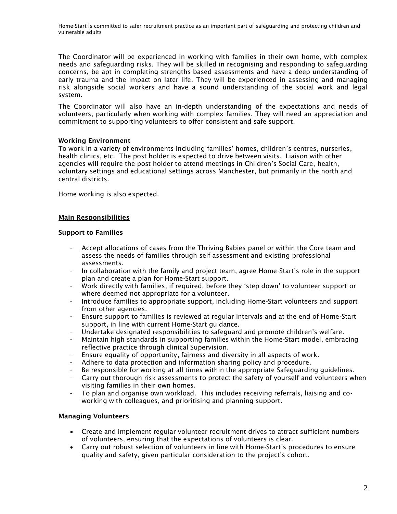Home-Start is committed to safer recruitment practice as an important part of safeguarding and protecting children and vulnerable adults

The Coordinator will be experienced in working with families in their own home, with complex needs and safeguarding risks. They will be skilled in recognising and responding to safeguarding concerns, be apt in completing strengths-based assessments and have a deep understanding of early trauma and the impact on later life. They will be experienced in assessing and managing risk alongside social workers and have a sound understanding of the social work and legal system.

The Coordinator will also have an in-depth understanding of the expectations and needs of volunteers, particularly when working with complex families. They will need an appreciation and commitment to supporting volunteers to offer consistent and safe support.

### Working Environment

To work in a variety of environments including families' homes, children's centres, nurseries, health clinics, etc. The post holder is expected to drive between visits. Liaison with other agencies will require the post holder to attend meetings in Children's Social Care, health, voluntary settings and educational settings across Manchester, but primarily in the north and central districts.

Home working is also expected.

### Main Responsibilities

#### Support to Families

- Accept allocations of cases from the Thriving Babies panel or within the Core team and assess the needs of families through self assessment and existing professional assessments.
- In collaboration with the family and project team, agree Home-Start's role in the support plan and create a plan for Home-Start support.
- Work directly with families, if required, before they 'step down' to volunteer support or where deemed not appropriate for a volunteer.
- Introduce families to appropriate support, including Home-Start volunteers and support from other agencies.
- Ensure support to families is reviewed at regular intervals and at the end of Home-Start support, in line with current Home-Start guidance.
- Undertake designated responsibilities to safeguard and promote children's welfare.
- Maintain high standards in supporting families within the Home-Start model, embracing reflective practice through clinical Supervision.
- Ensure equality of opportunity, fairness and diversity in all aspects of work.
- Adhere to data protection and information sharing policy and procedure.
- Be responsible for working at all times within the appropriate Safeguarding guidelines.
- Carry out thorough risk assessments to protect the safety of yourself and volunteers when visiting families in their own homes.
- To plan and organise own workload. This includes receiving referrals, liaising and coworking with colleagues, and prioritising and planning support.

### Managing Volunteers

- Create and implement regular volunteer recruitment drives to attract sufficient numbers of volunteers, ensuring that the expectations of volunteers is clear.
- Carry out robust selection of volunteers in line with Home-Start's procedures to ensure quality and safety, given particular consideration to the project's cohort.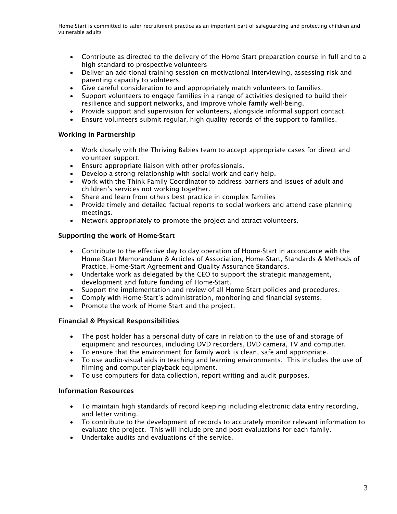- Contribute as directed to the delivery of the Home-Start preparation course in full and to a high standard to prospective volunteers
- Deliver an additional training session on motivational interviewing, assessing risk and parenting capacity to volnteers.
- Give careful consideration to and appropriately match volunteers to families.
- Support volunteers to engage families in a range of activities designed to build their resilience and support networks, and improve whole family well-being.
- Provide support and supervision for volunteers, alongside informal support contact.
- Ensure volunteers submit regular, high quality records of the support to families.

## Working in Partnership

- Work closely with the Thriving Babies team to accept appropriate cases for direct and volunteer support.
- Ensure appropriate liaison with other professionals.
- Develop a strong relationship with social work and early help.
- Work with the Think Family Coordinator to address barriers and issues of adult and children's services not working together.
- Share and learn from others best practice in complex families
- Provide timely and detailed factual reports to social workers and attend case planning meetings.
- Network appropriately to promote the project and attract volunteers.

## Supporting the work of Home-Start

- Contribute to the effective day to day operation of Home-Start in accordance with the Home-Start Memorandum & Articles of Association, Home-Start, Standards & Methods of Practice, Home-Start Agreement and Quality Assurance Standards.
- Undertake work as delegated by the CEO to support the strategic management, development and future funding of Home-Start.
- Support the implementation and review of all Home-Start policies and procedures.
- Comply with Home-Start's administration, monitoring and financial systems.
- Promote the work of Home-Start and the project.

### Financial & Physical Responsibilities

- The post holder has a personal duty of care in relation to the use of and storage of equipment and resources, including DVD recorders, DVD camera, TV and computer.
- To ensure that the environment for family work is clean, safe and appropriate.
- To use audio-visual aids in teaching and learning environments. This includes the use of filming and computer playback equipment.
- To use computers for data collection, report writing and audit purposes.

# Information Resources

- To maintain high standards of record keeping including electronic data entry recording, and letter writing.
- To contribute to the development of records to accurately monitor relevant information to evaluate the project. This will include pre and post evaluations for each family.
- Undertake audits and evaluations of the service.